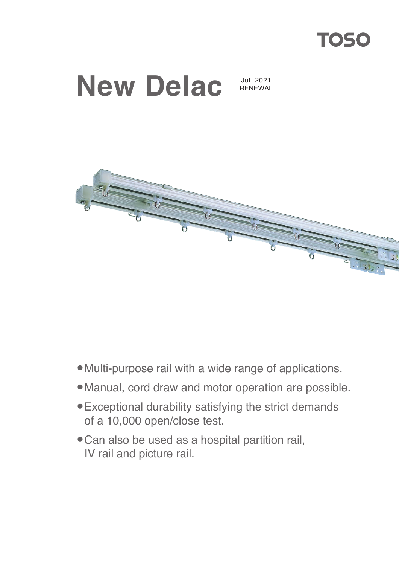





- •Multi-purpose rail with a wide range of applications.
- •Manual, cord draw and motor operation are possible.
- •Exceptional durability satisfying the strict demands of a 10,000 open/close test.
- •Can also be used as a hospital partition rail, IV rail and picture rail.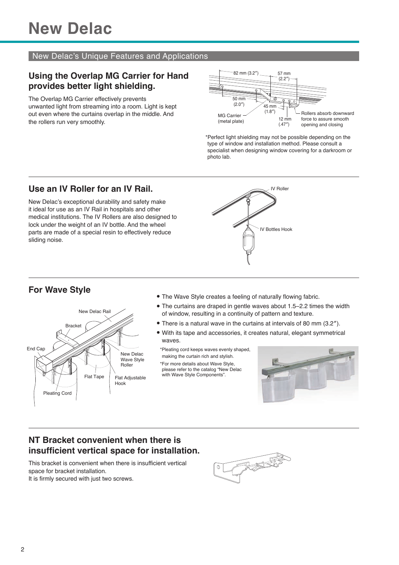#### New Delac's Unique Features and Applications

### **Using the Overlap MG Carrier for Hand provides better light shielding.**

The Overlap MG Carrier effectively prevents unwanted light from streaming into a room. Light is kept out even where the curtains overlap in the middle. And the rollers run very smoothly.



\*Perfect light shielding may not be possible depending on the type of window and installation method. Please consult a specialist when designing window covering for a darkroom or photo lab.

### **Use an IV Roller for an IV Rail.**

New Delac's exceptional durability and safety make it ideal for use as an IV Rail in hospitals and other medical institutions. The IV Rollers are also designed to lock under the weight of an IV bottle. And the wheel parts are made of a special resin to effectively reduce sliding noise.



# **For Wave Style**



- The Wave Style creates a feeling of naturally flowing fabric.
- The curtains are draped in gentle waves about 1.5–2.2 times the width<br>of window resulting in a continuity of pattern and toxture. of window, resulting in a continuity of pattern and texture.
- There is a natural wave in the curtains at intervals of 80 mm (3.2″).
- With its tape and accessories, it creates natural, elegant symmetrical waves.

\*Pleating cord keeps waves evenly shaped, making the curtain rich and stylish. \*For more details about Wave Style, please refer to the catalog "New Delac with Wave Style Components".



## **NT Bracket convenient when there is insufficient vertical space for installation.**

This bracket is convenient when there is insufficient vertical space for bracket installation. It is firmly secured with just two screws.

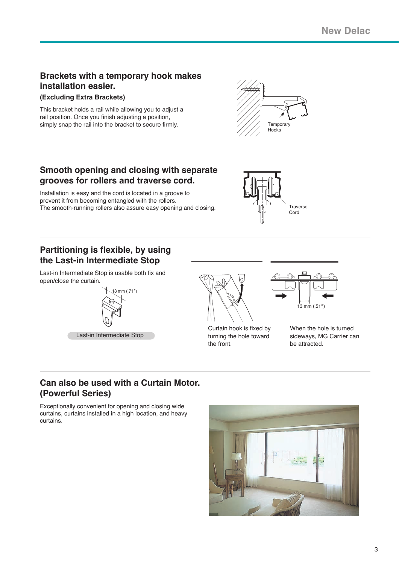## **Brackets with a temporary hook makes installation easier.**

#### **(Excluding Extra Brackets)**

This bracket holds a rail while allowing you to adjust a rail position. Once you finish adjusting a position, simply snap the rail into the bracket to secure firmly.  $\frac{1}{2}$  Temporary



## **Smooth opening and closing with separate grooves for rollers and traverse cord.**

Installation is easy and the cord is located in a groove to prevent it from becoming entangled with the rollers. The smooth-running rollers also assure easy opening and closing. The smooth-running rollers also assure easy opening and closing.



## **Partitioning is flexible, by using the Last-in Intermediate Stop**

Last-in Intermediate Stop is usable both fix and open/close the curtain.





Curtain hook is fixed by turning the hole toward the front.



When the hole is turned sideways, MG Carrier can be attracted.

## **Can also be used with a Curtain Motor. (Powerful Series)**

Exceptionally convenient for opening and closing wide curtains, curtains installed in a high location, and heavy curtains.

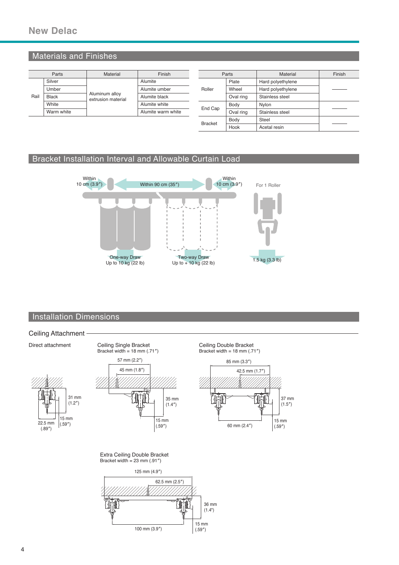## Materials and Finishes

|      | Parts        | Material                             | Finish             |  |                | Parts           | Material          | Finish |  |
|------|--------------|--------------------------------------|--------------------|--|----------------|-----------------|-------------------|--------|--|
|      | Silver       |                                      | Alumite            |  |                | Plate           | Hard polyethylene |        |  |
|      | Umber        |                                      | Alumite umber      |  | Roller         | Wheel           | Hard polyethylene |        |  |
| Rail | <b>Black</b> | Aluminum alloy<br>extrusion material | Alumite black      |  | Oval ring      | Stainless steel |                   |        |  |
|      | White        |                                      | Alumite white      |  |                | Body            | Nylon             |        |  |
|      | Warm white   |                                      | Alumite warm white |  | End Cap        | Oval ring       | Stainless steel   |        |  |
|      |              |                                      |                    |  | <b>Bracket</b> | Body            | <b>Steel</b>      |        |  |
|      |              |                                      |                    |  |                | Hook            | Acetal resin      |        |  |

#### Bracket Installation Interval and Allowable Curtain Load



#### **Installation Dimensions**



100 mm (3.9″)

 $(.59")$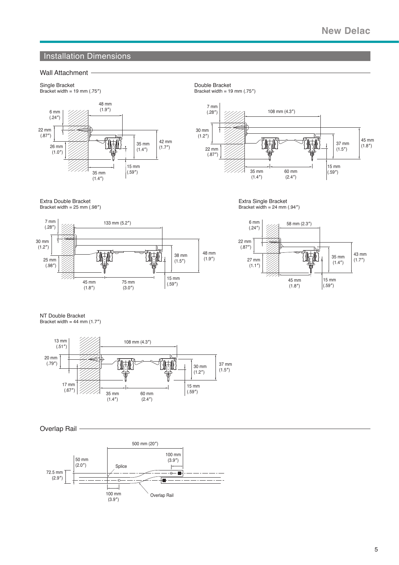### **Installation Dimensions**

#### Wall Attachment



Single Bracket Bracket width = 19 mm (.75″)





Extra Double Bracket Bracket width =  $25$  mm  $(.98'')$ 



Extra Single Bracket Bracket width =  $24$  mm  $(.94'')$ 



NT Double Bracket

Bracket width =  $44$  mm  $(1.7<sup>n</sup>)$ 





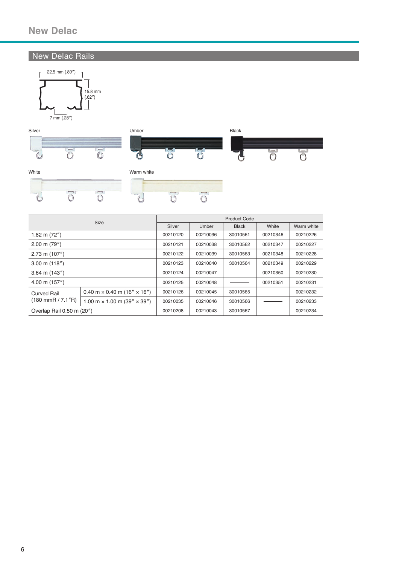#### New Delac Rails





|                                     | Product Code                                              |              |              |          |            |          |  |
|-------------------------------------|-----------------------------------------------------------|--------------|--------------|----------|------------|----------|--|
|                                     | Silver                                                    | <b>Umber</b> | <b>Black</b> | White    | Warm white |          |  |
| 1.82 m $(72'')$                     | 00210120                                                  | 00210036     | 30010561     | 00210346 | 00210226   |          |  |
| $2.00 \text{ m}$ (79")              |                                                           | 00210121     | 00210038     | 30010562 | 00210347   |          |  |
| $2.73$ m $(107")$                   |                                                           | 00210122     | 00210039     | 30010563 | 00210348   | 00210228 |  |
| $3.00 \text{ m}$ (118")             | 00210123                                                  | 00210040     | 30010564     | 00210349 | 00210229   |          |  |
| $3.64 \text{ m}$ (143")             |                                                           | 00210124     | 00210047     |          | 00210350   | 00210230 |  |
| $4.00 \text{ m}$ (157")             |                                                           | 00210125     | 00210048     |          | 00210351   | 00210231 |  |
| Curved Rail                         | $0.40$ m $\times$ 0.40 m (16" $\times$ 16")               | 00210126     | 00210045     | 30010565 |            | 00210232 |  |
| $(180 \text{ mmR} / 7.1 \text{ m})$ | $1.00 \text{ m} \times 1.00 \text{ m} (39'' \times 39'')$ | 00210035     | 00210046     | 30010566 |            | 00210233 |  |
| Overlap Rail 0.50 m (20")           | 00210208                                                  | 00210043     | 30010567     |          | 00210234   |          |  |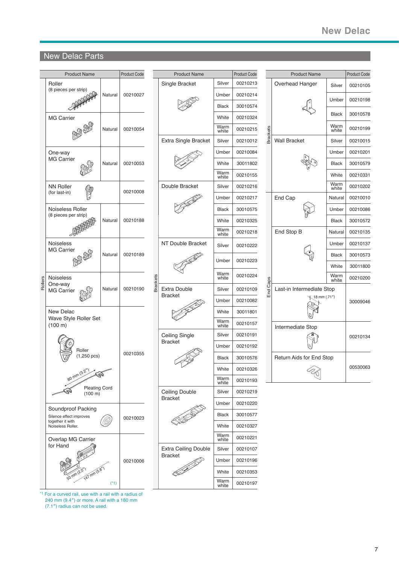# **New Delac New Delac**

Product Code

00210105

00210198

30010578

00210199

00210134

30009046

00210010 00210086 30010572

00530063

#### New Delac Parts

| Roller<br>Silver<br>00210213<br>Single Bracket<br>Overhead Hanger<br>(8 pieces per strip)<br>00210027<br>00210214<br>Natural<br>Umber<br><b>Black</b><br>30010574<br><b>MG Carrier</b><br>White<br>00210324<br>Warm<br><b>Brackets</b><br>00210054<br>00210215<br>Natural<br>white<br><b>Wall Bracket</b><br>Extra Single Bracket<br>Silver<br>00210012<br>00210084<br>Umber<br>One-way<br><b>MG Carrier</b><br>White<br>00210053<br>30011802<br>Natural<br>Warm<br>00210155<br>white<br>Double Bracket<br><b>NN Roller</b><br>Silver<br>00210216<br>00210008<br>(for last-in)<br>End Cap<br>00210217<br>Umber<br>Noiseless Roller<br><b>Black</b><br>30010575<br>(8 pieces per strip)<br>00210188<br>Natural<br>White<br>00210325<br>Warm<br>End Stop B<br>00210218<br>white<br>Noiseless<br>NT Double Bracket<br>00210222<br>Silver<br><b>MG Carrier</b><br>Natural<br>00210189<br>Umber<br>00210223<br>Warm<br>00210224<br><b>Brackets</b><br><b>Noiseless</b><br>Rollers<br>white<br>End Caps<br>One-way<br><b>Extra Double</b><br>00210190<br>00210109<br>Natural<br>Silver<br><b>MG Carrier</b><br><b>Bracket</b><br>Umber<br>00210082<br>New Delac<br>White<br>30011801<br>Wave Style Roller Set<br>Warm<br>00210157<br>(100 m)<br>white<br>Intermediate Stop<br>Ceiling Single<br>Silver<br>00210191<br><b>Bracket</b><br>00210192<br>Umber<br>Roller<br>00210355<br>$(1,250 \text{ pcs})$<br>30010576<br><b>Black</b><br>White<br>00210326<br>80 mm (3.2"<br>ৰ্জী<br>Warm<br>00210193<br>white<br><b>Pleating Cord</b><br>Ceiling Double<br>Silver<br>00210219<br>$(100 \text{ m})$<br><b>Bracket</b><br>00210220<br>Umber<br>Soundproof Packing<br><b>Black</b><br>30010577<br>Silence effect improves<br>00210023<br>together it with<br>White<br>00210327<br>Noiseless Roller.<br>Warm<br>00210221<br>Overlap MG Carrier<br>white<br>for Hand<br><b>Extra Ceiling Double</b><br>Silver<br>00210107<br><b>Bracket</b><br>Umber<br>00210196<br>00210006<br><b>147 mm (5.8)</b><br>White<br>00210353<br>Warm<br>00210197<br>$(*1)$<br>white |  | <b>Product Name</b> |  | Product Code |  | <b>Product Name</b> | Product Code |  | <b>Product Name</b>                       |               |
|------------------------------------------------------------------------------------------------------------------------------------------------------------------------------------------------------------------------------------------------------------------------------------------------------------------------------------------------------------------------------------------------------------------------------------------------------------------------------------------------------------------------------------------------------------------------------------------------------------------------------------------------------------------------------------------------------------------------------------------------------------------------------------------------------------------------------------------------------------------------------------------------------------------------------------------------------------------------------------------------------------------------------------------------------------------------------------------------------------------------------------------------------------------------------------------------------------------------------------------------------------------------------------------------------------------------------------------------------------------------------------------------------------------------------------------------------------------------------------------------------------------------------------------------------------------------------------------------------------------------------------------------------------------------------------------------------------------------------------------------------------------------------------------------------------------------------------------------------------------------------------------------------------------------------------------------------------------------------------------------------------------------------------------------------|--|---------------------|--|--------------|--|---------------------|--------------|--|-------------------------------------------|---------------|
|                                                                                                                                                                                                                                                                                                                                                                                                                                                                                                                                                                                                                                                                                                                                                                                                                                                                                                                                                                                                                                                                                                                                                                                                                                                                                                                                                                                                                                                                                                                                                                                                                                                                                                                                                                                                                                                                                                                                                                                                                                                      |  |                     |  |              |  |                     |              |  |                                           | Silver        |
|                                                                                                                                                                                                                                                                                                                                                                                                                                                                                                                                                                                                                                                                                                                                                                                                                                                                                                                                                                                                                                                                                                                                                                                                                                                                                                                                                                                                                                                                                                                                                                                                                                                                                                                                                                                                                                                                                                                                                                                                                                                      |  |                     |  |              |  |                     |              |  |                                           | Umber         |
|                                                                                                                                                                                                                                                                                                                                                                                                                                                                                                                                                                                                                                                                                                                                                                                                                                                                                                                                                                                                                                                                                                                                                                                                                                                                                                                                                                                                                                                                                                                                                                                                                                                                                                                                                                                                                                                                                                                                                                                                                                                      |  |                     |  |              |  |                     |              |  |                                           |               |
|                                                                                                                                                                                                                                                                                                                                                                                                                                                                                                                                                                                                                                                                                                                                                                                                                                                                                                                                                                                                                                                                                                                                                                                                                                                                                                                                                                                                                                                                                                                                                                                                                                                                                                                                                                                                                                                                                                                                                                                                                                                      |  |                     |  |              |  |                     |              |  |                                           | <b>Black</b>  |
|                                                                                                                                                                                                                                                                                                                                                                                                                                                                                                                                                                                                                                                                                                                                                                                                                                                                                                                                                                                                                                                                                                                                                                                                                                                                                                                                                                                                                                                                                                                                                                                                                                                                                                                                                                                                                                                                                                                                                                                                                                                      |  |                     |  |              |  |                     |              |  |                                           | Warm<br>white |
|                                                                                                                                                                                                                                                                                                                                                                                                                                                                                                                                                                                                                                                                                                                                                                                                                                                                                                                                                                                                                                                                                                                                                                                                                                                                                                                                                                                                                                                                                                                                                                                                                                                                                                                                                                                                                                                                                                                                                                                                                                                      |  |                     |  |              |  |                     |              |  |                                           | Silver        |
|                                                                                                                                                                                                                                                                                                                                                                                                                                                                                                                                                                                                                                                                                                                                                                                                                                                                                                                                                                                                                                                                                                                                                                                                                                                                                                                                                                                                                                                                                                                                                                                                                                                                                                                                                                                                                                                                                                                                                                                                                                                      |  |                     |  |              |  |                     |              |  |                                           | Umber         |
|                                                                                                                                                                                                                                                                                                                                                                                                                                                                                                                                                                                                                                                                                                                                                                                                                                                                                                                                                                                                                                                                                                                                                                                                                                                                                                                                                                                                                                                                                                                                                                                                                                                                                                                                                                                                                                                                                                                                                                                                                                                      |  |                     |  |              |  |                     |              |  |                                           | <b>Black</b>  |
|                                                                                                                                                                                                                                                                                                                                                                                                                                                                                                                                                                                                                                                                                                                                                                                                                                                                                                                                                                                                                                                                                                                                                                                                                                                                                                                                                                                                                                                                                                                                                                                                                                                                                                                                                                                                                                                                                                                                                                                                                                                      |  |                     |  |              |  |                     |              |  |                                           | White         |
|                                                                                                                                                                                                                                                                                                                                                                                                                                                                                                                                                                                                                                                                                                                                                                                                                                                                                                                                                                                                                                                                                                                                                                                                                                                                                                                                                                                                                                                                                                                                                                                                                                                                                                                                                                                                                                                                                                                                                                                                                                                      |  |                     |  |              |  |                     |              |  |                                           | Warm<br>white |
|                                                                                                                                                                                                                                                                                                                                                                                                                                                                                                                                                                                                                                                                                                                                                                                                                                                                                                                                                                                                                                                                                                                                                                                                                                                                                                                                                                                                                                                                                                                                                                                                                                                                                                                                                                                                                                                                                                                                                                                                                                                      |  |                     |  |              |  |                     |              |  |                                           | Natural       |
|                                                                                                                                                                                                                                                                                                                                                                                                                                                                                                                                                                                                                                                                                                                                                                                                                                                                                                                                                                                                                                                                                                                                                                                                                                                                                                                                                                                                                                                                                                                                                                                                                                                                                                                                                                                                                                                                                                                                                                                                                                                      |  |                     |  |              |  |                     |              |  |                                           | Umber         |
|                                                                                                                                                                                                                                                                                                                                                                                                                                                                                                                                                                                                                                                                                                                                                                                                                                                                                                                                                                                                                                                                                                                                                                                                                                                                                                                                                                                                                                                                                                                                                                                                                                                                                                                                                                                                                                                                                                                                                                                                                                                      |  |                     |  |              |  |                     |              |  |                                           | <b>Black</b>  |
|                                                                                                                                                                                                                                                                                                                                                                                                                                                                                                                                                                                                                                                                                                                                                                                                                                                                                                                                                                                                                                                                                                                                                                                                                                                                                                                                                                                                                                                                                                                                                                                                                                                                                                                                                                                                                                                                                                                                                                                                                                                      |  |                     |  |              |  |                     |              |  |                                           | Natural       |
|                                                                                                                                                                                                                                                                                                                                                                                                                                                                                                                                                                                                                                                                                                                                                                                                                                                                                                                                                                                                                                                                                                                                                                                                                                                                                                                                                                                                                                                                                                                                                                                                                                                                                                                                                                                                                                                                                                                                                                                                                                                      |  |                     |  |              |  |                     |              |  |                                           | Umber         |
|                                                                                                                                                                                                                                                                                                                                                                                                                                                                                                                                                                                                                                                                                                                                                                                                                                                                                                                                                                                                                                                                                                                                                                                                                                                                                                                                                                                                                                                                                                                                                                                                                                                                                                                                                                                                                                                                                                                                                                                                                                                      |  |                     |  |              |  |                     |              |  |                                           | <b>Black</b>  |
|                                                                                                                                                                                                                                                                                                                                                                                                                                                                                                                                                                                                                                                                                                                                                                                                                                                                                                                                                                                                                                                                                                                                                                                                                                                                                                                                                                                                                                                                                                                                                                                                                                                                                                                                                                                                                                                                                                                                                                                                                                                      |  |                     |  |              |  |                     |              |  |                                           | White         |
|                                                                                                                                                                                                                                                                                                                                                                                                                                                                                                                                                                                                                                                                                                                                                                                                                                                                                                                                                                                                                                                                                                                                                                                                                                                                                                                                                                                                                                                                                                                                                                                                                                                                                                                                                                                                                                                                                                                                                                                                                                                      |  |                     |  |              |  |                     |              |  |                                           | Warm<br>white |
|                                                                                                                                                                                                                                                                                                                                                                                                                                                                                                                                                                                                                                                                                                                                                                                                                                                                                                                                                                                                                                                                                                                                                                                                                                                                                                                                                                                                                                                                                                                                                                                                                                                                                                                                                                                                                                                                                                                                                                                                                                                      |  |                     |  |              |  |                     |              |  | Last-in Intermediate Stop<br>18 mm (.71") |               |
|                                                                                                                                                                                                                                                                                                                                                                                                                                                                                                                                                                                                                                                                                                                                                                                                                                                                                                                                                                                                                                                                                                                                                                                                                                                                                                                                                                                                                                                                                                                                                                                                                                                                                                                                                                                                                                                                                                                                                                                                                                                      |  |                     |  |              |  |                     |              |  |                                           |               |
|                                                                                                                                                                                                                                                                                                                                                                                                                                                                                                                                                                                                                                                                                                                                                                                                                                                                                                                                                                                                                                                                                                                                                                                                                                                                                                                                                                                                                                                                                                                                                                                                                                                                                                                                                                                                                                                                                                                                                                                                                                                      |  |                     |  |              |  |                     |              |  |                                           |               |
|                                                                                                                                                                                                                                                                                                                                                                                                                                                                                                                                                                                                                                                                                                                                                                                                                                                                                                                                                                                                                                                                                                                                                                                                                                                                                                                                                                                                                                                                                                                                                                                                                                                                                                                                                                                                                                                                                                                                                                                                                                                      |  |                     |  |              |  |                     |              |  |                                           |               |
|                                                                                                                                                                                                                                                                                                                                                                                                                                                                                                                                                                                                                                                                                                                                                                                                                                                                                                                                                                                                                                                                                                                                                                                                                                                                                                                                                                                                                                                                                                                                                                                                                                                                                                                                                                                                                                                                                                                                                                                                                                                      |  |                     |  |              |  |                     |              |  |                                           |               |
|                                                                                                                                                                                                                                                                                                                                                                                                                                                                                                                                                                                                                                                                                                                                                                                                                                                                                                                                                                                                                                                                                                                                                                                                                                                                                                                                                                                                                                                                                                                                                                                                                                                                                                                                                                                                                                                                                                                                                                                                                                                      |  |                     |  |              |  |                     |              |  |                                           |               |
|                                                                                                                                                                                                                                                                                                                                                                                                                                                                                                                                                                                                                                                                                                                                                                                                                                                                                                                                                                                                                                                                                                                                                                                                                                                                                                                                                                                                                                                                                                                                                                                                                                                                                                                                                                                                                                                                                                                                                                                                                                                      |  |                     |  |              |  |                     |              |  | Return Aids for End Stop                  |               |
|                                                                                                                                                                                                                                                                                                                                                                                                                                                                                                                                                                                                                                                                                                                                                                                                                                                                                                                                                                                                                                                                                                                                                                                                                                                                                                                                                                                                                                                                                                                                                                                                                                                                                                                                                                                                                                                                                                                                                                                                                                                      |  |                     |  |              |  |                     |              |  |                                           |               |
|                                                                                                                                                                                                                                                                                                                                                                                                                                                                                                                                                                                                                                                                                                                                                                                                                                                                                                                                                                                                                                                                                                                                                                                                                                                                                                                                                                                                                                                                                                                                                                                                                                                                                                                                                                                                                                                                                                                                                                                                                                                      |  |                     |  |              |  |                     |              |  |                                           |               |
|                                                                                                                                                                                                                                                                                                                                                                                                                                                                                                                                                                                                                                                                                                                                                                                                                                                                                                                                                                                                                                                                                                                                                                                                                                                                                                                                                                                                                                                                                                                                                                                                                                                                                                                                                                                                                                                                                                                                                                                                                                                      |  |                     |  |              |  |                     |              |  |                                           |               |
|                                                                                                                                                                                                                                                                                                                                                                                                                                                                                                                                                                                                                                                                                                                                                                                                                                                                                                                                                                                                                                                                                                                                                                                                                                                                                                                                                                                                                                                                                                                                                                                                                                                                                                                                                                                                                                                                                                                                                                                                                                                      |  |                     |  |              |  |                     |              |  |                                           |               |
|                                                                                                                                                                                                                                                                                                                                                                                                                                                                                                                                                                                                                                                                                                                                                                                                                                                                                                                                                                                                                                                                                                                                                                                                                                                                                                                                                                                                                                                                                                                                                                                                                                                                                                                                                                                                                                                                                                                                                                                                                                                      |  |                     |  |              |  |                     |              |  |                                           |               |
|                                                                                                                                                                                                                                                                                                                                                                                                                                                                                                                                                                                                                                                                                                                                                                                                                                                                                                                                                                                                                                                                                                                                                                                                                                                                                                                                                                                                                                                                                                                                                                                                                                                                                                                                                                                                                                                                                                                                                                                                                                                      |  |                     |  |              |  |                     |              |  |                                           |               |
|                                                                                                                                                                                                                                                                                                                                                                                                                                                                                                                                                                                                                                                                                                                                                                                                                                                                                                                                                                                                                                                                                                                                                                                                                                                                                                                                                                                                                                                                                                                                                                                                                                                                                                                                                                                                                                                                                                                                                                                                                                                      |  |                     |  |              |  |                     |              |  |                                           |               |
|                                                                                                                                                                                                                                                                                                                                                                                                                                                                                                                                                                                                                                                                                                                                                                                                                                                                                                                                                                                                                                                                                                                                                                                                                                                                                                                                                                                                                                                                                                                                                                                                                                                                                                                                                                                                                                                                                                                                                                                                                                                      |  |                     |  |              |  |                     |              |  |                                           |               |
|                                                                                                                                                                                                                                                                                                                                                                                                                                                                                                                                                                                                                                                                                                                                                                                                                                                                                                                                                                                                                                                                                                                                                                                                                                                                                                                                                                                                                                                                                                                                                                                                                                                                                                                                                                                                                                                                                                                                                                                                                                                      |  |                     |  |              |  |                     |              |  |                                           |               |
|                                                                                                                                                                                                                                                                                                                                                                                                                                                                                                                                                                                                                                                                                                                                                                                                                                                                                                                                                                                                                                                                                                                                                                                                                                                                                                                                                                                                                                                                                                                                                                                                                                                                                                                                                                                                                                                                                                                                                                                                                                                      |  |                     |  |              |  |                     |              |  |                                           |               |
|                                                                                                                                                                                                                                                                                                                                                                                                                                                                                                                                                                                                                                                                                                                                                                                                                                                                                                                                                                                                                                                                                                                                                                                                                                                                                                                                                                                                                                                                                                                                                                                                                                                                                                                                                                                                                                                                                                                                                                                                                                                      |  |                     |  |              |  |                     |              |  |                                           |               |

\*1 For a curved rail, use with a rail with a radius of 240 mm (9.4″) or more. A rail with a 180 mm (7.1″) radius can not be used.